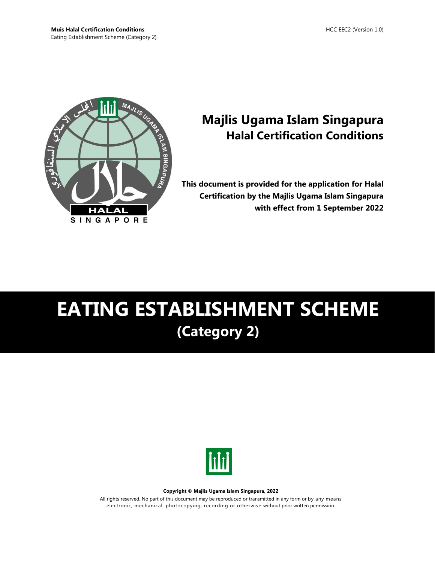

# **Majlis Ugama Islam Singapura Halal Certification Conditions**

**This document is provided for the application for Halal Certification by the Majlis Ugama Islam Singapura with effect from 1 September 2022**

# **EATING ESTABLISHMENT SCHEME (Category 2)**



#### **Copyright © Majlis Ugama Islam Singapura, 2022**

All rights reserved. No part of this document may be reproduced or transmitted in any form or by any means electronic, mechanical, photocopying, recording or otherwise without prior written permission.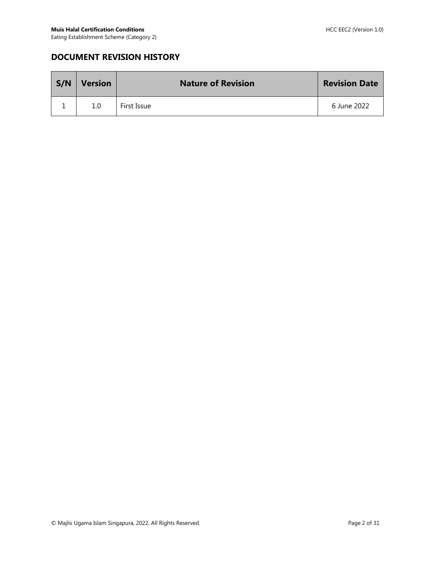## **DOCUMENT REVISION HISTORY**

| S/N | <b>Version</b> | <b>Nature of Revision</b> | <b>Revision Date</b> |
|-----|----------------|---------------------------|----------------------|
|     | 1.0            | First Issue               | 6 June 2022          |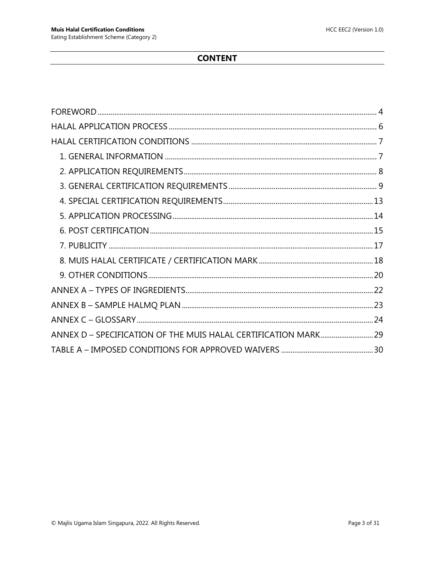## **CONTENT**

| ANNEX D - SPECIFICATION OF THE MUIS HALAL CERTIFICATION MARK 29 |  |
|-----------------------------------------------------------------|--|
|                                                                 |  |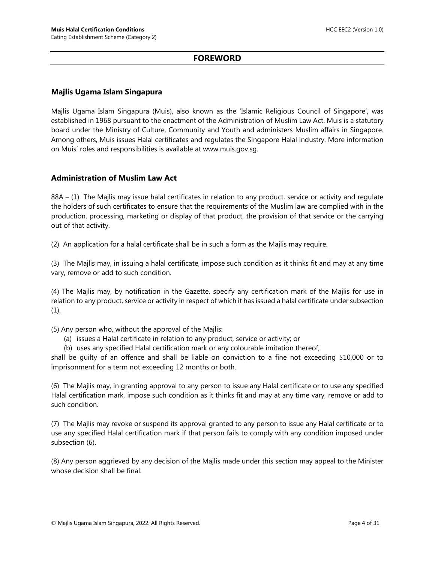#### **FOREWORD**

#### <span id="page-3-0"></span>**Majlis Ugama Islam Singapura**

Majlis Ugama Islam Singapura (Muis), also known as the 'Islamic Religious Council of Singapore', was established in 1968 pursuant to the enactment of the Administration of Muslim Law Act. Muis is a statutory board under the Ministry of Culture, Community and Youth and administers Muslim affairs in Singapore. Among others, Muis issues Halal certificates and regulates the Singapore Halal industry. More information on Muis' roles and responsibilities is available at www.muis.gov.sg.

#### **Administration of Muslim Law Act**

88A – (1) The Majlis may issue halal certificates in relation to any product, service or activity and regulate the holders of such certificates to ensure that the requirements of the Muslim law are complied with in the production, processing, marketing or display of that product, the provision of that service or the carrying out of that activity.

(2) An application for a halal certificate shall be in such a form as the Majlis may require.

(3) The Majlis may, in issuing a halal certificate, impose such condition as it thinks fit and may at any time vary, remove or add to such condition.

(4) The Majlis may, by notification in the Gazette, specify any certification mark of the Majlis for use in relation to any product, service or activity in respect of which it has issued a halal certificate under subsection  $(1).$ 

(5) Any person who, without the approval of the Majlis:

- (a) issues a Halal certificate in relation to any product, service or activity; or
- (b) uses any specified Halal certification mark or any colourable imitation thereof,

shall be guilty of an offence and shall be liable on conviction to a fine not exceeding \$10,000 or to imprisonment for a term not exceeding 12 months or both.

(6) The Majlis may, in granting approval to any person to issue any Halal certificate or to use any specified Halal certification mark, impose such condition as it thinks fit and may at any time vary, remove or add to such condition.

(7) The Majlis may revoke or suspend its approval granted to any person to issue any Halal certificate or to use any specified Halal certification mark if that person fails to comply with any condition imposed under subsection (6).

(8) Any person aggrieved by any decision of the Majlis made under this section may appeal to the Minister whose decision shall be final.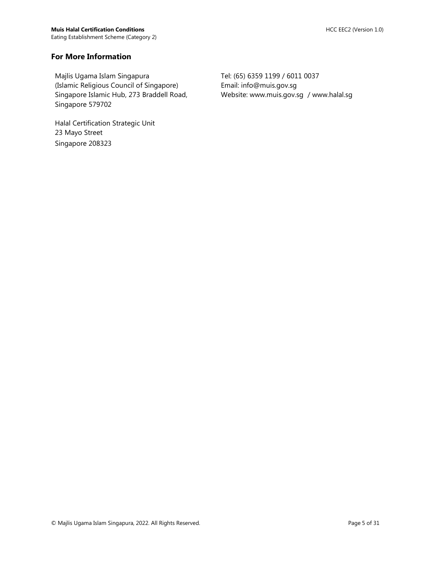#### **For More Information**

Majlis Ugama Islam Singapura (Islamic Religious Council of Singapore) Singapore Islamic Hub, 273 Braddell Road, Singapore 579702

Halal Certification Strategic Unit 23 Mayo Street Singapore 208323

Tel: (65) 6359 1199 / 6011 0037 Email: info@muis.gov.sg Website: www.muis.gov.sg / www.halal.sg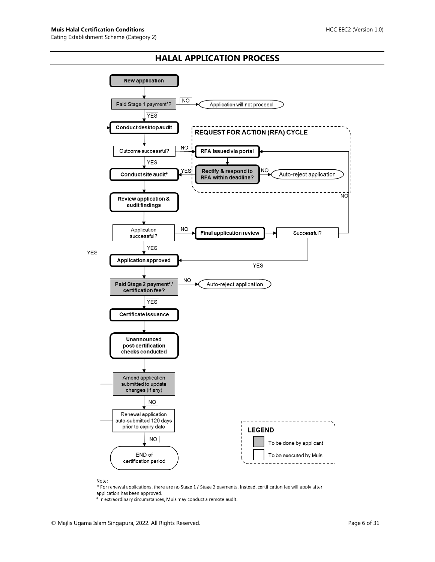#### **HALAL APPLICATION PROCESS**

<span id="page-5-0"></span>

Note:

\* For renewal applications, there are no Stage 1 / Stage 2 payments. Instead, certification fee will apply after application has been approved.

# In extraordinary circumstances, Muis may conduct a remote audit.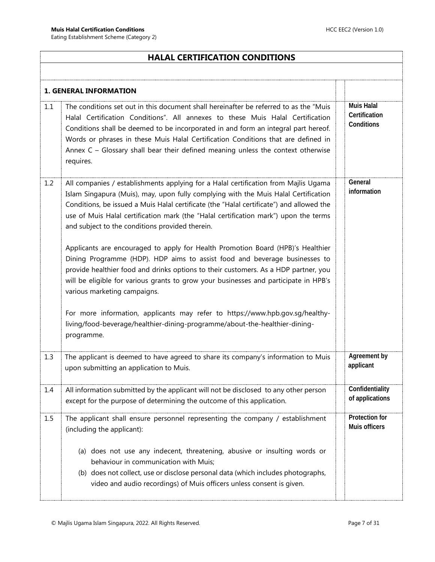## <span id="page-6-0"></span>**HALAL CERTIFICATION CONDITIONS**

<span id="page-6-1"></span>

|     | <b>1. GENERAL INFORMATION</b>                                                                                                                                                                                                                                                                                                                                                                                                                           |                                                  |  |  |  |
|-----|---------------------------------------------------------------------------------------------------------------------------------------------------------------------------------------------------------------------------------------------------------------------------------------------------------------------------------------------------------------------------------------------------------------------------------------------------------|--------------------------------------------------|--|--|--|
| 1.1 | The conditions set out in this document shall hereinafter be referred to as the "Muis"<br>Halal Certification Conditions". All annexes to these Muis Halal Certification<br>Conditions shall be deemed to be incorporated in and form an integral part hereof.<br>Words or phrases in these Muis Halal Certification Conditions that are defined in<br>Annex $C - G$ lossary shall bear their defined meaning unless the context otherwise<br>requires. | <b>Muis Halal</b><br>Certification<br>Conditions |  |  |  |
| 1.2 | All companies / establishments applying for a Halal certification from Majlis Ugama<br>Islam Singapura (Muis), may, upon fully complying with the Muis Halal Certification<br>Conditions, be issued a Muis Halal certificate (the "Halal certificate") and allowed the<br>use of Muis Halal certification mark (the "Halal certification mark") upon the terms<br>and subject to the conditions provided therein.                                       | General<br>information                           |  |  |  |
|     | Applicants are encouraged to apply for Health Promotion Board (HPB)'s Healthier<br>Dining Programme (HDP). HDP aims to assist food and beverage businesses to<br>provide healthier food and drinks options to their customers. As a HDP partner, you<br>will be eligible for various grants to grow your businesses and participate in HPB's<br>various marketing campaigns.                                                                            |                                                  |  |  |  |
|     | For more information, applicants may refer to https://www.hpb.gov.sg/healthy-<br>living/food-beverage/healthier-dining-programme/about-the-healthier-dining-<br>programme.                                                                                                                                                                                                                                                                              |                                                  |  |  |  |
| 1.3 | The applicant is deemed to have agreed to share its company's information to Muis<br>upon submitting an application to Muis.                                                                                                                                                                                                                                                                                                                            | Agreement by<br>applicant                        |  |  |  |
| 1.4 | All information submitted by the applicant will not be disclosed to any other person<br>except for the purpose of determining the outcome of this application.                                                                                                                                                                                                                                                                                          | Confidentiality<br>of applications               |  |  |  |
| 1.5 | The applicant shall ensure personnel representing the company / establishment<br>(including the applicant):                                                                                                                                                                                                                                                                                                                                             | Protection for<br>Muis officers                  |  |  |  |
|     | (a) does not use any indecent, threatening, abusive or insulting words or<br>behaviour in communication with Muis;<br>(b) does not collect, use or disclose personal data (which includes photographs,<br>video and audio recordings) of Muis officers unless consent is given.                                                                                                                                                                         |                                                  |  |  |  |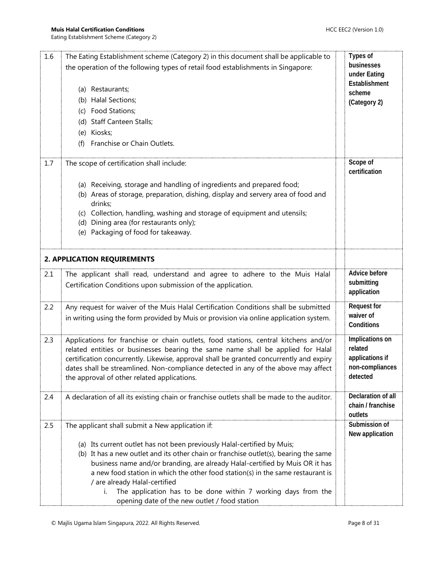<span id="page-7-0"></span>

| 1.6 | The Eating Establishment scheme (Category 2) in this document shall be applicable to                 | <b>Types of</b>        |
|-----|------------------------------------------------------------------------------------------------------|------------------------|
|     | the operation of the following types of retail food establishments in Singapore:                     | businesses             |
|     |                                                                                                      | under Eating           |
|     | (a) Restaurants;                                                                                     | Establishment          |
|     | (b) Halal Sections;                                                                                  | scheme<br>(Category 2) |
|     | Food Stations;<br>(c)                                                                                |                        |
|     | (d) Staff Canteen Stalls;                                                                            |                        |
|     | Kiosks;<br>(e)                                                                                       |                        |
|     | Franchise or Chain Outlets.<br>(f)                                                                   |                        |
|     |                                                                                                      |                        |
| 1.7 | The scope of certification shall include:                                                            | Scope of               |
|     |                                                                                                      | certification          |
|     | (a) Receiving, storage and handling of ingredients and prepared food;                                |                        |
|     | (b) Areas of storage, preparation, dishing, display and servery area of food and                     |                        |
|     | drinks;                                                                                              |                        |
|     | (c) Collection, handling, washing and storage of equipment and utensils;                             |                        |
|     | (d) Dining area (for restaurants only);                                                              |                        |
|     | Packaging of food for takeaway.<br>(e)                                                               |                        |
|     |                                                                                                      |                        |
|     | 2. APPLICATION REQUIREMENTS                                                                          |                        |
| 2.1 | The applicant shall read, understand and agree to adhere to the Muis Halal                           | Advice before          |
|     | Certification Conditions upon submission of the application.                                         | submitting             |
|     |                                                                                                      | application            |
| 2.2 | Any request for waiver of the Muis Halal Certification Conditions shall be submitted                 | <b>Request for</b>     |
|     | in writing using the form provided by Muis or provision via online application system.               | waiver of              |
|     |                                                                                                      | Conditions             |
| 2.3 | Applications for franchise or chain outlets, food stations, central kitchens and/or                  | Implications on        |
|     | related entities or businesses bearing the same name shall be applied for Halal                      | related                |
|     | certification concurrently. Likewise, approval shall be granted concurrently and expiry              | applications if        |
|     | dates shall be streamlined. Non-compliance detected in any of the above may affect                   | non-compliances        |
|     | the approval of other related applications.                                                          | detected               |
| 2.4 | A declaration of all its existing chain or franchise outlets shall be made to the auditor.           | Declaration of all     |
|     |                                                                                                      | chain / franchise      |
|     |                                                                                                      | outlets                |
| 2.5 | The applicant shall submit a New application if:                                                     | Submission of          |
|     |                                                                                                      | New application        |
|     | (a) Its current outlet has not been previously Halal-certified by Muis;                              |                        |
|     | (b) It has a new outlet and its other chain or franchise outlet(s), bearing the same                 |                        |
|     | business name and/or branding, are already Halal-certified by Muis OR it has                         |                        |
|     | a new food station in which the other food station(s) in the same restaurant is                      |                        |
|     | / are already Halal-certified<br>The application has to be done within 7 working days from the<br>i. |                        |
|     | opening date of the new outlet / food station                                                        |                        |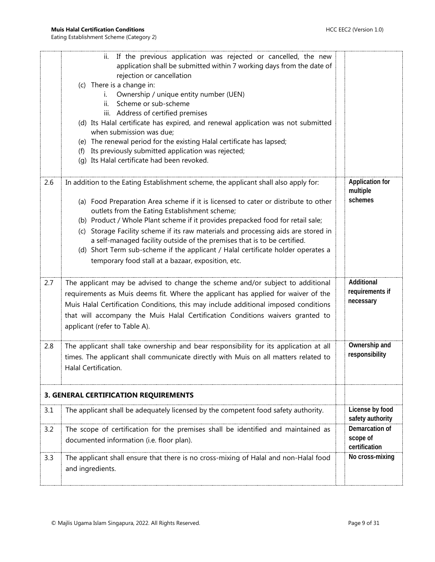<span id="page-8-0"></span>

|     | ii. If the previous application was rejected or cancelled, the new<br>application shall be submitted within 7 working days from the date of<br>rejection or cancellation<br>(c) There is a change in:<br>Ownership / unique entity number (UEN)<br>i.<br>Scheme or sub-scheme<br>ii.<br>iii. Address of certified premises |                                               |
|-----|----------------------------------------------------------------------------------------------------------------------------------------------------------------------------------------------------------------------------------------------------------------------------------------------------------------------------|-----------------------------------------------|
|     | (d) Its Halal certificate has expired, and renewal application was not submitted                                                                                                                                                                                                                                           |                                               |
|     | when submission was due;<br>(e) The renewal period for the existing Halal certificate has lapsed;                                                                                                                                                                                                                          |                                               |
|     | Its previously submitted application was rejected;<br>(f)                                                                                                                                                                                                                                                                  |                                               |
|     | (g) Its Halal certificate had been revoked.                                                                                                                                                                                                                                                                                |                                               |
| 2.6 | In addition to the Eating Establishment scheme, the applicant shall also apply for:<br>(a) Food Preparation Area scheme if it is licensed to cater or distribute to other<br>outlets from the Eating Establishment scheme;                                                                                                 | <b>Application for</b><br>multiple<br>schemes |
|     | (b) Product / Whole Plant scheme if it provides prepacked food for retail sale;                                                                                                                                                                                                                                            |                                               |
|     | (c) Storage Facility scheme if its raw materials and processing aids are stored in<br>a self-managed facility outside of the premises that is to be certified.<br>(d) Short Term sub-scheme if the applicant / Halal certificate holder operates a<br>temporary food stall at a bazaar, exposition, etc.                   |                                               |
| 2.7 | The applicant may be advised to change the scheme and/or subject to additional                                                                                                                                                                                                                                             | Additional                                    |
|     | requirements as Muis deems fit. Where the applicant has applied for waiver of the<br>Muis Halal Certification Conditions, this may include additional imposed conditions<br>that will accompany the Muis Halal Certification Conditions waivers granted to<br>applicant (refer to Table A).                                | requirements if<br>necessary                  |
| 2.8 | The applicant shall take ownership and bear responsibility for its application at all<br>times. The applicant shall communicate directly with Muis on all matters related to<br>Halal Certification.                                                                                                                       | Ownership and<br>responsibility               |
|     | 3. GENERAL CERTIFICATION REQUIREMENTS                                                                                                                                                                                                                                                                                      |                                               |
| 3.1 | The applicant shall be adequately licensed by the competent food safety authority.                                                                                                                                                                                                                                         | License by food<br>safety authority           |
| 3.2 | The scope of certification for the premises shall be identified and maintained as<br>documented information (i.e. floor plan).                                                                                                                                                                                             | Demarcation of<br>scope of<br>certification   |
| 3.3 | The applicant shall ensure that there is no cross-mixing of Halal and non-Halal food<br>and ingredients.                                                                                                                                                                                                                   | No cross-mixing                               |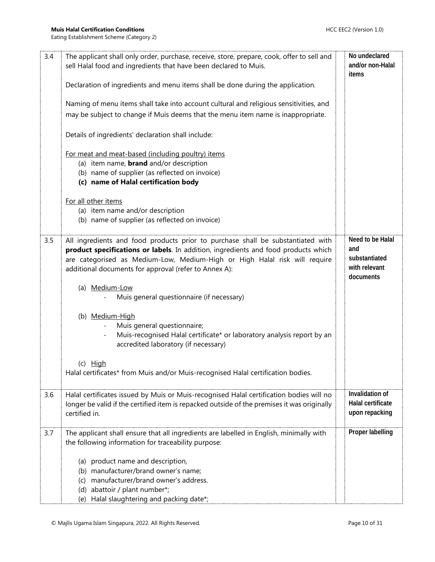| 3.4 | The applicant shall only order, purchase, receive, store, prepare, cook, offer to sell and<br>sell Halal food and ingredients that have been declared to Muis. | No undeclared<br>and/or non-Halal |
|-----|----------------------------------------------------------------------------------------------------------------------------------------------------------------|-----------------------------------|
|     |                                                                                                                                                                | items                             |
|     | Declaration of ingredients and menu items shall be done during the application.                                                                                |                                   |
|     | Naming of menu items shall take into account cultural and religious sensitivities, and                                                                         |                                   |
|     | may be subject to change if Muis deems that the menu item name is inappropriate.                                                                               |                                   |
|     | Details of ingredients' declaration shall include:                                                                                                             |                                   |
|     | For meat and meat-based (including poultry) items                                                                                                              |                                   |
|     | (a) item name, <b>brand</b> and/or description                                                                                                                 |                                   |
|     | (b) name of supplier (as reflected on invoice)<br>(c) name of Halal certification body                                                                         |                                   |
|     | For all other items                                                                                                                                            |                                   |
|     | (a) item name and/or description                                                                                                                               |                                   |
|     | (b) name of supplier (as reflected on invoice)                                                                                                                 |                                   |
| 3.5 | All ingredients and food products prior to purchase shall be substantiated with                                                                                | Need to be Halal                  |
|     | product specifications or labels. In addition, ingredients and food products which                                                                             | and                               |
|     | are categorised as Medium-Low, Medium-High or High Halal risk will require                                                                                     | substantiated<br>with relevant    |
|     | additional documents for approval (refer to Annex A):                                                                                                          | documents                         |
|     | (a) Medium-Low                                                                                                                                                 |                                   |
|     | Muis general questionnaire (if necessary)                                                                                                                      |                                   |
|     | (b) Medium-High                                                                                                                                                |                                   |
|     | Muis general questionnaire;                                                                                                                                    |                                   |
|     | Muis-recognised Halal certificate* or laboratory analysis report by an                                                                                         |                                   |
|     | accredited laboratory (if necessary)                                                                                                                           |                                   |
|     | $(c)$ High                                                                                                                                                     |                                   |
|     | Halal certificates* from Muis and/or Muis-recognised Halal certification bodies.                                                                               |                                   |
| 3.6 | Halal certificates issued by Muis or Muis-recognised Halal certification bodies will no                                                                        | Invalidation of                   |
|     | longer be valid if the certified item is repacked outside of the premises it was originally                                                                    | Halal certificate                 |
|     | certified in.                                                                                                                                                  | upon repacking                    |
| 3.7 | The applicant shall ensure that all ingredients are labelled in English, minimally with<br>the following information for traceability purpose:                 | Proper labelling                  |
|     |                                                                                                                                                                |                                   |
|     | (a) product name and description,                                                                                                                              |                                   |
|     | (b) manufacturer/brand owner's name;                                                                                                                           |                                   |
|     | manufacturer/brand owner's address.<br>(c)                                                                                                                     |                                   |
|     | abattoir / plant number*;<br>(d)                                                                                                                               |                                   |
|     | Halal slaughtering and packing date*;<br>(e)                                                                                                                   |                                   |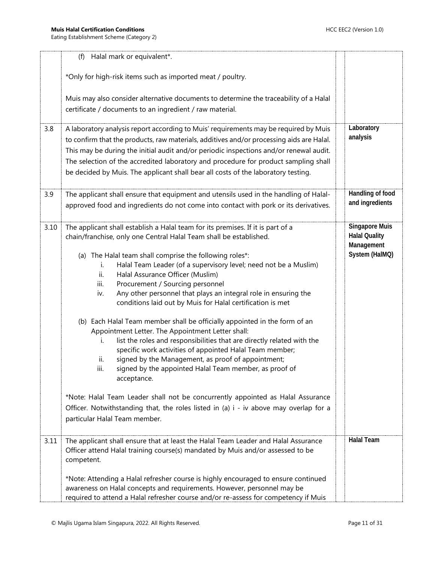|      | Halal mark or equivalent*.<br>(f)                                                                                                                                                                                                                                                                                                                                                                                                                                                                                                                                                                                                                                                                                                                                                                                                                                                                                                                                                                                                                                                                                                                                   |                                                                               |
|------|---------------------------------------------------------------------------------------------------------------------------------------------------------------------------------------------------------------------------------------------------------------------------------------------------------------------------------------------------------------------------------------------------------------------------------------------------------------------------------------------------------------------------------------------------------------------------------------------------------------------------------------------------------------------------------------------------------------------------------------------------------------------------------------------------------------------------------------------------------------------------------------------------------------------------------------------------------------------------------------------------------------------------------------------------------------------------------------------------------------------------------------------------------------------|-------------------------------------------------------------------------------|
|      | *Only for high-risk items such as imported meat / poultry.                                                                                                                                                                                                                                                                                                                                                                                                                                                                                                                                                                                                                                                                                                                                                                                                                                                                                                                                                                                                                                                                                                          |                                                                               |
|      | Muis may also consider alternative documents to determine the traceability of a Halal<br>certificate / documents to an ingredient / raw material.                                                                                                                                                                                                                                                                                                                                                                                                                                                                                                                                                                                                                                                                                                                                                                                                                                                                                                                                                                                                                   |                                                                               |
| 3.8  | A laboratory analysis report according to Muis' requirements may be required by Muis<br>to confirm that the products, raw materials, additives and/or processing aids are Halal.<br>This may be during the initial audit and/or periodic inspections and/or renewal audit.<br>The selection of the accredited laboratory and procedure for product sampling shall<br>be decided by Muis. The applicant shall bear all costs of the laboratory testing.                                                                                                                                                                                                                                                                                                                                                                                                                                                                                                                                                                                                                                                                                                              | Laboratory<br>analysis                                                        |
| 3.9  | The applicant shall ensure that equipment and utensils used in the handling of Halal-<br>approved food and ingredients do not come into contact with pork or its derivatives.                                                                                                                                                                                                                                                                                                                                                                                                                                                                                                                                                                                                                                                                                                                                                                                                                                                                                                                                                                                       | Handling of food<br>and ingredients                                           |
| 3.10 | The applicant shall establish a Halal team for its premises. If it is part of a<br>chain/franchise, only one Central Halal Team shall be established.<br>(a) The Halal team shall comprise the following roles*:<br>Halal Team Leader (of a supervisory level; need not be a Muslim)<br>İ.<br>Halal Assurance Officer (Muslim)<br>ii.<br>Procurement / Sourcing personnel<br>iii.<br>Any other personnel that plays an integral role in ensuring the<br>iv.<br>conditions laid out by Muis for Halal certification is met<br>(b) Each Halal Team member shall be officially appointed in the form of an<br>Appointment Letter. The Appointment Letter shall:<br>list the roles and responsibilities that are directly related with the<br>i.<br>specific work activities of appointed Halal Team member;<br>signed by the Management, as proof of appointment;<br>ii.<br>signed by the appointed Halal Team member, as proof of<br>iii.<br>acceptance.<br>*Note: Halal Team Leader shall not be concurrently appointed as Halal Assurance<br>Officer. Notwithstanding that, the roles listed in (a) i - iv above may overlap for a<br>particular Halal Team member. | <b>Singapore Muis</b><br><b>Halal Quality</b><br>Management<br>System (HalMQ) |
| 3.11 | The applicant shall ensure that at least the Halal Team Leader and Halal Assurance<br>Officer attend Halal training course(s) mandated by Muis and/or assessed to be<br>competent.                                                                                                                                                                                                                                                                                                                                                                                                                                                                                                                                                                                                                                                                                                                                                                                                                                                                                                                                                                                  | <b>Halal Team</b>                                                             |
|      | *Note: Attending a Halal refresher course is highly encouraged to ensure continued<br>awareness on Halal concepts and requirements. However, personnel may be<br>required to attend a Halal refresher course and/or re-assess for competency if Muis                                                                                                                                                                                                                                                                                                                                                                                                                                                                                                                                                                                                                                                                                                                                                                                                                                                                                                                |                                                                               |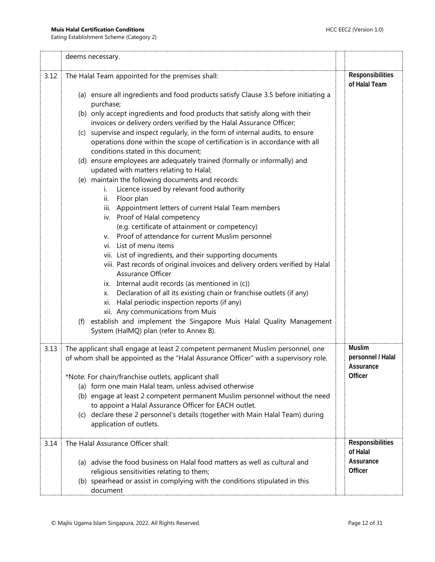Eating Establishment Scheme (Category 2)

|      | deems necessary.                                                                                                                                                                                                                                                                                                                                                   |                                                      |
|------|--------------------------------------------------------------------------------------------------------------------------------------------------------------------------------------------------------------------------------------------------------------------------------------------------------------------------------------------------------------------|------------------------------------------------------|
| 3.12 | The Halal Team appointed for the premises shall:                                                                                                                                                                                                                                                                                                                   | Responsibilities<br>of Halal Team                    |
|      | (a) ensure all ingredients and food products satisfy Clause 3.5 before initiating a<br>purchase;                                                                                                                                                                                                                                                                   |                                                      |
|      | (b) only accept ingredients and food products that satisfy along with their<br>invoices or delivery orders verified by the Halal Assurance Officer;                                                                                                                                                                                                                |                                                      |
|      | supervise and inspect regularly, in the form of internal audits, to ensure<br>(C)<br>operations done within the scope of certification is in accordance with all<br>conditions stated in this document:                                                                                                                                                            |                                                      |
|      | (d) ensure employees are adequately trained (formally or informally) and<br>updated with matters relating to Halal;                                                                                                                                                                                                                                                |                                                      |
|      | (e) maintain the following documents and records:<br>Licence issued by relevant food authority<br>i.                                                                                                                                                                                                                                                               |                                                      |
|      | Floor plan<br>ii.<br>iii. Appointment letters of current Halal Team members<br>iv. Proof of Halal competency                                                                                                                                                                                                                                                       |                                                      |
|      | (e.g. certificate of attainment or competency)<br>Proof of attendance for current Muslim personnel<br>V.<br>List of menu items<br>Vİ.                                                                                                                                                                                                                              |                                                      |
|      | vii. List of ingredients, and their supporting documents<br>viii. Past records of original invoices and delivery orders verified by Halal<br>Assurance Officer                                                                                                                                                                                                     |                                                      |
|      | ix. Internal audit records (as mentioned in (c))<br>Declaration of all its existing chain or franchise outlets (if any)<br>Х.<br>Halal periodic inspection reports (if any)<br>xi.<br>xii. Any communications from Muis                                                                                                                                            |                                                      |
|      | (f) establish and implement the Singapore Muis Halal Quality Management<br>System (HalMQ) plan (refer to Annex B).                                                                                                                                                                                                                                                 |                                                      |
| 3.13 | The applicant shall engage at least 2 competent permanent Muslim personnel, one<br>of whom shall be appointed as the "Halal Assurance Officer" with a supervisory role.                                                                                                                                                                                            | <b>Muslim</b><br>personnel / Halal<br>Assurance      |
|      | *Note: For chain/franchise outlets, applicant shall<br>(a) form one main Halal team, unless advised otherwise<br>(b) engage at least 2 competent permanent Muslim personnel without the need<br>to appoint a Halal Assurance Officer for EACH outlet.<br>(c) declare these 2 personnel's details (together with Main Halal Team) during<br>application of outlets. | Officer                                              |
| 3.14 | The Halal Assurance Officer shall:<br>(a) advise the food business on Halal food matters as well as cultural and<br>religious sensitivities relating to them;<br>(b) spearhead or assist in complying with the conditions stipulated in this                                                                                                                       | Responsibilities<br>of Halal<br>Assurance<br>Officer |
|      | document                                                                                                                                                                                                                                                                                                                                                           |                                                      |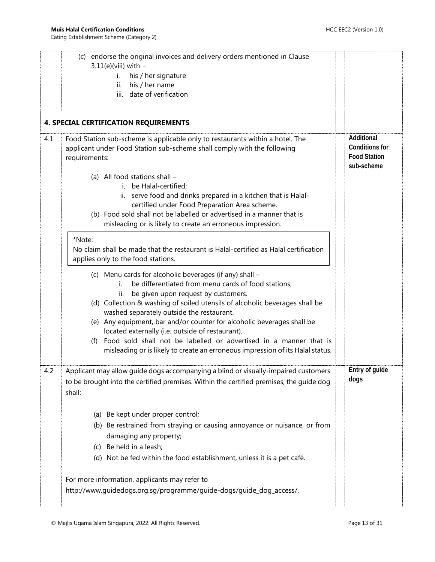<span id="page-12-0"></span>

|     | (c) endorse the original invoices and delivery orders mentioned in Clause<br>$3.11(e)$ (viii) with -<br>his / her signature<br>i.<br>his / her name<br>ii.<br>date of verification<br>iii.                                                                                                                                                                                                                                                                                                                                                                                              |                                                                          |
|-----|-----------------------------------------------------------------------------------------------------------------------------------------------------------------------------------------------------------------------------------------------------------------------------------------------------------------------------------------------------------------------------------------------------------------------------------------------------------------------------------------------------------------------------------------------------------------------------------------|--------------------------------------------------------------------------|
|     | <b>4. SPECIAL CERTIFICATION REQUIREMENTS</b>                                                                                                                                                                                                                                                                                                                                                                                                                                                                                                                                            |                                                                          |
| 4.1 | Food Station sub-scheme is applicable only to restaurants within a hotel. The<br>applicant under Food Station sub-scheme shall comply with the following<br>requirements:                                                                                                                                                                                                                                                                                                                                                                                                               | Additional<br><b>Conditions for</b><br><b>Food Station</b><br>sub-scheme |
|     | (a) All food stations shall -<br>i. be Halal-certified;<br>ii. serve food and drinks prepared in a kitchen that is Halal-<br>certified under Food Preparation Area scheme.<br>(b) Food sold shall not be labelled or advertised in a manner that is<br>misleading or is likely to create an erroneous impression.                                                                                                                                                                                                                                                                       |                                                                          |
|     | *Note:<br>No claim shall be made that the restaurant is Halal-certified as Halal certification<br>applies only to the food stations.                                                                                                                                                                                                                                                                                                                                                                                                                                                    |                                                                          |
|     | (c) Menu cards for alcoholic beverages (if any) shall -<br>be differentiated from menu cards of food stations;<br>i.<br>be given upon request by customers.<br>ii.<br>(d) Collection & washing of soiled utensils of alcoholic beverages shall be<br>washed separately outside the restaurant.<br>(e) Any equipment, bar and/or counter for alcoholic beverages shall be<br>located externally (i.e. outside of restaurant).<br>(f) Food sold shall not be labelled or advertised in a manner that is<br>misleading or is likely to create an erroneous impression of its Halal status. |                                                                          |
| 4.2 | Applicant may allow guide dogs accompanying a blind or visually-impaired customers<br>to be brought into the certified premises. Within the certified premises, the guide dog<br>shall:                                                                                                                                                                                                                                                                                                                                                                                                 | Entry of guide<br>dogs                                                   |
|     | (a) Be kept under proper control;<br>(b) Be restrained from straying or causing annoyance or nuisance, or from<br>damaging any property;<br>(c) Be held in a leash;<br>(d) Not be fed within the food establishment, unless it is a pet café.                                                                                                                                                                                                                                                                                                                                           |                                                                          |
|     | For more information, applicants may refer to<br>http://www.guidedogs.org.sg/programme/guide-dogs/guide_dog_access/.                                                                                                                                                                                                                                                                                                                                                                                                                                                                    |                                                                          |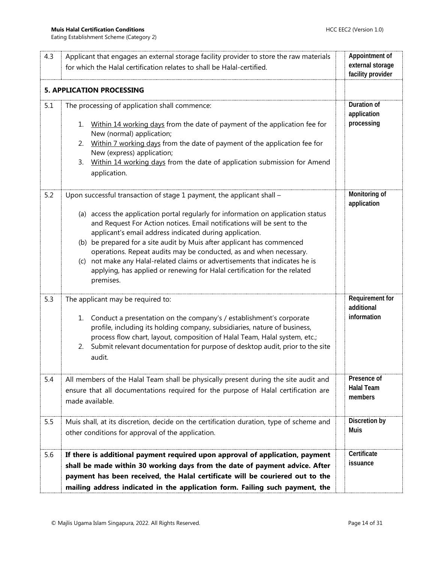<span id="page-13-0"></span>

| 4.3 | Applicant that engages an external storage facility provider to store the raw materials                                                                                                                                                                                                                                                                                                                                                                                                                                                              | Appointment of                       |
|-----|------------------------------------------------------------------------------------------------------------------------------------------------------------------------------------------------------------------------------------------------------------------------------------------------------------------------------------------------------------------------------------------------------------------------------------------------------------------------------------------------------------------------------------------------------|--------------------------------------|
|     | for which the Halal certification relates to shall be Halal-certified.                                                                                                                                                                                                                                                                                                                                                                                                                                                                               | external storage                     |
|     |                                                                                                                                                                                                                                                                                                                                                                                                                                                                                                                                                      | facility provider                    |
|     | <b>5. APPLICATION PROCESSING</b>                                                                                                                                                                                                                                                                                                                                                                                                                                                                                                                     |                                      |
| 5.1 | The processing of application shall commence:                                                                                                                                                                                                                                                                                                                                                                                                                                                                                                        | Duration of<br>application           |
|     | Within 14 working days from the date of payment of the application fee for<br>1.<br>New (normal) application;                                                                                                                                                                                                                                                                                                                                                                                                                                        | processing                           |
|     | Within 7 working days from the date of payment of the application fee for<br>2.<br>New (express) application;                                                                                                                                                                                                                                                                                                                                                                                                                                        |                                      |
|     | Within 14 working days from the date of application submission for Amend<br>3.<br>application.                                                                                                                                                                                                                                                                                                                                                                                                                                                       |                                      |
| 5.2 | Upon successful transaction of stage 1 payment, the applicant shall -                                                                                                                                                                                                                                                                                                                                                                                                                                                                                | Monitoring of<br>application         |
|     | (a) access the application portal regularly for information on application status<br>and Request For Action notices. Email notifications will be sent to the<br>applicant's email address indicated during application.<br>(b) be prepared for a site audit by Muis after applicant has commenced<br>operations. Repeat audits may be conducted, as and when necessary.<br>not make any Halal-related claims or advertisements that indicates he is<br>(C)<br>applying, has applied or renewing for Halal certification for the related<br>premises. |                                      |
| 5.3 | The applicant may be required to:                                                                                                                                                                                                                                                                                                                                                                                                                                                                                                                    | <b>Requirement for</b><br>additional |
|     | Conduct a presentation on the company's / establishment's corporate<br>1.<br>profile, including its holding company, subsidiaries, nature of business,<br>process flow chart, layout, composition of Halal Team, Halal system, etc.;<br>Submit relevant documentation for purpose of desktop audit, prior to the site<br>2.<br>audit.                                                                                                                                                                                                                | information                          |
| 5.4 | All members of the Halal Team shall be physically present during the site audit and                                                                                                                                                                                                                                                                                                                                                                                                                                                                  | Presence of                          |
|     | ensure that all documentations required for the purpose of Halal certification are<br>made available.                                                                                                                                                                                                                                                                                                                                                                                                                                                | <b>Halal Team</b><br>members         |
| 5.5 | Muis shall, at its discretion, decide on the certification duration, type of scheme and<br>other conditions for approval of the application.                                                                                                                                                                                                                                                                                                                                                                                                         | Discretion by<br><b>Muis</b>         |
| 5.6 | If there is additional payment required upon approval of application, payment<br>shall be made within 30 working days from the date of payment advice. After<br>payment has been received, the Halal certificate will be couriered out to the<br>mailing address indicated in the application form. Failing such payment, the                                                                                                                                                                                                                        | Certificate<br>issuance              |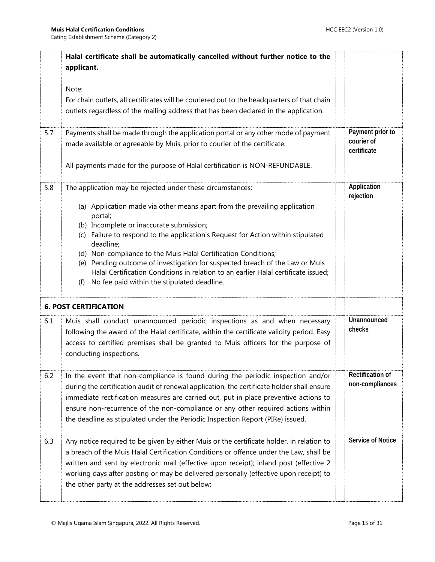<span id="page-14-0"></span>

|     | Halal certificate shall be automatically cancelled without further notice to the<br>applicant.<br>Note:                                                                                                                                                                                                                                                                                                                                                                                                                                                                                        |                                               |
|-----|------------------------------------------------------------------------------------------------------------------------------------------------------------------------------------------------------------------------------------------------------------------------------------------------------------------------------------------------------------------------------------------------------------------------------------------------------------------------------------------------------------------------------------------------------------------------------------------------|-----------------------------------------------|
|     | For chain outlets, all certificates will be couriered out to the headquarters of that chain<br>outlets regardless of the mailing address that has been declared in the application.                                                                                                                                                                                                                                                                                                                                                                                                            |                                               |
| 5.7 | Payments shall be made through the application portal or any other mode of payment<br>made available or agreeable by Muis, prior to courier of the certificate.<br>All payments made for the purpose of Halal certification is NON-REFUNDABLE.                                                                                                                                                                                                                                                                                                                                                 | Payment prior to<br>courier of<br>certificate |
| 5.8 | The application may be rejected under these circumstances:<br>(a) Application made via other means apart from the prevailing application<br>portal;<br>(b) Incomplete or inaccurate submission;<br>(c) Failure to respond to the application's Request for Action within stipulated<br>deadline;<br>(d) Non-compliance to the Muis Halal Certification Conditions;<br>(e) Pending outcome of investigation for suspected breach of the Law or Muis<br>Halal Certification Conditions in relation to an earlier Halal certificate issued;<br>No fee paid within the stipulated deadline.<br>(f) | Application<br>rejection                      |
|     | <b>6. POST CERTIFICATION</b>                                                                                                                                                                                                                                                                                                                                                                                                                                                                                                                                                                   |                                               |
| 6.1 | Muis shall conduct unannounced periodic inspections as and when necessary<br>following the award of the Halal certificate, within the certificate validity period. Easy<br>access to certified premises shall be granted to Muis officers for the purpose of<br>conducting inspections.                                                                                                                                                                                                                                                                                                        | Unannounced<br>checks                         |
| 6.2 | In the event that non-compliance is found during the periodic inspection and/or<br>during the certification audit of renewal application, the certificate holder shall ensure<br>immediate rectification measures are carried out, put in place preventive actions to<br>ensure non-recurrence of the non-compliance or any other required actions within<br>the deadline as stipulated under the Periodic Inspection Report (PIRe) issued.                                                                                                                                                    | <b>Rectification of</b><br>non-compliances    |
| 6.3 | Any notice required to be given by either Muis or the certificate holder, in relation to<br>a breach of the Muis Halal Certification Conditions or offence under the Law, shall be<br>written and sent by electronic mail (effective upon receipt); inland post (effective 2<br>working days after posting or may be delivered personally (effective upon receipt) to<br>the other party at the addresses set out below:                                                                                                                                                                       | <b>Service of Notice</b>                      |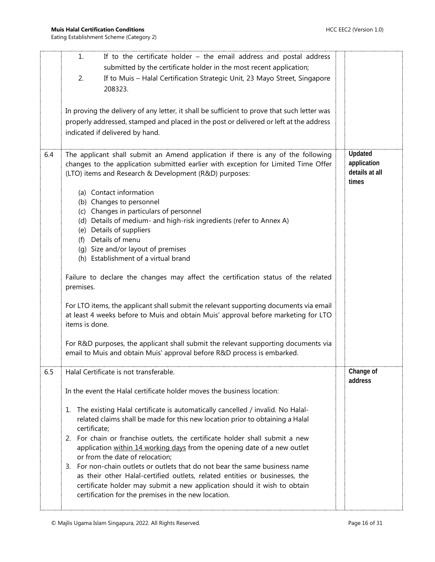|     | If to the certificate holder $-$ the email address and postal address<br>1.<br>submitted by the certificate holder in the most recent application;                                                                                                                                                        |                                                   |
|-----|-----------------------------------------------------------------------------------------------------------------------------------------------------------------------------------------------------------------------------------------------------------------------------------------------------------|---------------------------------------------------|
|     | If to Muis - Halal Certification Strategic Unit, 23 Mayo Street, Singapore<br>2.<br>208323.                                                                                                                                                                                                               |                                                   |
|     | In proving the delivery of any letter, it shall be sufficient to prove that such letter was<br>properly addressed, stamped and placed in the post or delivered or left at the address<br>indicated if delivered by hand.                                                                                  |                                                   |
| 6.4 | The applicant shall submit an Amend application if there is any of the following<br>changes to the application submitted earlier with exception for Limited Time Offer<br>(LTO) items and Research & Development (R&D) purposes:                                                                          | Updated<br>application<br>details at all<br>times |
|     | (a) Contact information<br>(b) Changes to personnel<br>(c) Changes in particulars of personnel<br>(d) Details of medium- and high-risk ingredients (refer to Annex A)<br>(e) Details of suppliers<br>Details of menu<br>(f)<br>(g) Size and/or layout of premises<br>(h) Establishment of a virtual brand |                                                   |
|     | Failure to declare the changes may affect the certification status of the related<br>premises.                                                                                                                                                                                                            |                                                   |
|     | For LTO items, the applicant shall submit the relevant supporting documents via email<br>at least 4 weeks before to Muis and obtain Muis' approval before marketing for LTO<br>items is done.                                                                                                             |                                                   |
|     | For R&D purposes, the applicant shall submit the relevant supporting documents via<br>email to Muis and obtain Muis' approval before R&D process is embarked.                                                                                                                                             |                                                   |
| 6.5 | Halal Certificate is not transferable.<br>In the event the Halal certificate holder moves the business location:                                                                                                                                                                                          | Change of<br>address                              |
|     | The existing Halal certificate is automatically cancelled / invalid. No Halal-<br>1.<br>related claims shall be made for this new location prior to obtaining a Halal<br>certificate;                                                                                                                     |                                                   |
|     | 2. For chain or franchise outlets, the certificate holder shall submit a new<br>application within 14 working days from the opening date of a new outlet<br>or from the date of relocation;<br>3. For non-chain outlets or outlets that do not bear the same business name                                |                                                   |
|     | as their other Halal-certified outlets, related entities or businesses, the<br>certificate holder may submit a new application should it wish to obtain<br>certification for the premises in the new location.                                                                                            |                                                   |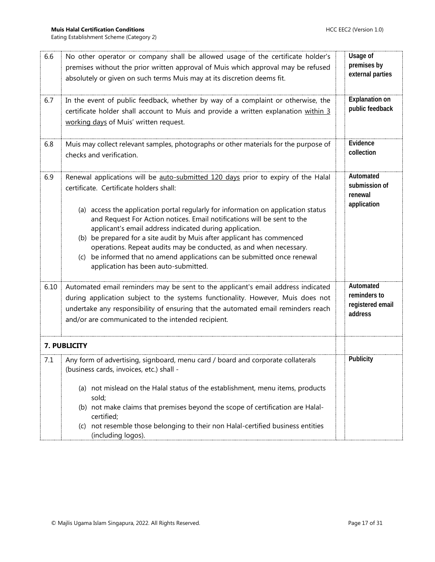<span id="page-16-0"></span>

| 6.6  | No other operator or company shall be allowed usage of the certificate holder's<br>premises without the prior written approval of Muis which approval may be refused<br>absolutely or given on such terms Muis may at its discretion deems fit.                                                                                                                                                                                                                                                                                                                                                                                | Usage of<br>premises by<br>external parties              |
|------|--------------------------------------------------------------------------------------------------------------------------------------------------------------------------------------------------------------------------------------------------------------------------------------------------------------------------------------------------------------------------------------------------------------------------------------------------------------------------------------------------------------------------------------------------------------------------------------------------------------------------------|----------------------------------------------------------|
| 6.7  | In the event of public feedback, whether by way of a complaint or otherwise, the<br>certificate holder shall account to Muis and provide a written explanation within 3<br>working days of Muis' written request.                                                                                                                                                                                                                                                                                                                                                                                                              | <b>Explanation on</b><br>public feedback                 |
| 6.8  | Muis may collect relevant samples, photographs or other materials for the purpose of<br>checks and verification.                                                                                                                                                                                                                                                                                                                                                                                                                                                                                                               | Evidence<br>collection                                   |
| 6.9  | Renewal applications will be auto-submitted 120 days prior to expiry of the Halal<br>certificate. Certificate holders shall:<br>(a) access the application portal regularly for information on application status<br>and Request For Action notices. Email notifications will be sent to the<br>applicant's email address indicated during application.<br>(b) be prepared for a site audit by Muis after applicant has commenced<br>operations. Repeat audits may be conducted, as and when necessary.<br>be informed that no amend applications can be submitted once renewal<br>(C)<br>application has been auto-submitted. | Automated<br>submission of<br>renewal<br>application     |
| 6.10 | Automated email reminders may be sent to the applicant's email address indicated<br>during application subject to the systems functionality. However, Muis does not<br>undertake any responsibility of ensuring that the automated email reminders reach<br>and/or are communicated to the intended recipient.                                                                                                                                                                                                                                                                                                                 | Automated<br>reminders to<br>registered email<br>address |
|      | 7. PUBLICITY                                                                                                                                                                                                                                                                                                                                                                                                                                                                                                                                                                                                                   |                                                          |
| 7.1  | Any form of advertising, signboard, menu card / board and corporate collaterals<br>(business cards, invoices, etc.) shall -<br>(a) not mislead on the Halal status of the establishment, menu items, products<br>sold;<br>(b) not make claims that premises beyond the scope of certification are Halal-<br>certified;<br>not resemble those belonging to their non Halal-certified business entities<br>(C)<br>(including logos).                                                                                                                                                                                             | Publicity                                                |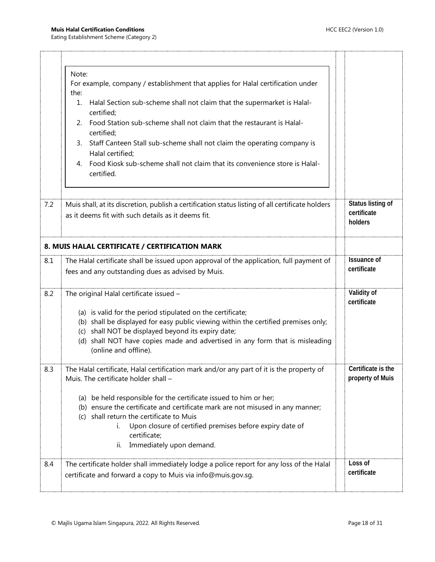<span id="page-17-0"></span>

|     | Note:                                                                                                                                                    |                                             |
|-----|----------------------------------------------------------------------------------------------------------------------------------------------------------|---------------------------------------------|
|     | For example, company / establishment that applies for Halal certification under<br>the:                                                                  |                                             |
|     | Halal Section sub-scheme shall not claim that the supermarket is Halal-<br>1.<br>certified;                                                              |                                             |
|     | Food Station sub-scheme shall not claim that the restaurant is Halal-<br>2.<br>certified;                                                                |                                             |
|     | Staff Canteen Stall sub-scheme shall not claim the operating company is<br>3.<br>Halal certified;                                                        |                                             |
|     | Food Kiosk sub-scheme shall not claim that its convenience store is Halal-<br>4.<br>certified.                                                           |                                             |
|     |                                                                                                                                                          |                                             |
| 7.2 | Muis shall, at its discretion, publish a certification status listing of all certificate holders<br>as it deems fit with such details as it deems fit.   | Status listing of<br>certificate<br>holders |
|     | 8. MUIS HALAL CERTIFICATE / CERTIFICATION MARK                                                                                                           |                                             |
| 8.1 | The Halal certificate shall be issued upon approval of the application, full payment of                                                                  | <b>Issuance of</b>                          |
|     | fees and any outstanding dues as advised by Muis.                                                                                                        | certificate                                 |
| 8.2 | The original Halal certificate issued -                                                                                                                  | Validity of<br>certificate                  |
|     | (a) is valid for the period stipulated on the certificate;                                                                                               |                                             |
|     | (b) shall be displayed for easy public viewing within the certified premises only;<br>(c) shall NOT be displayed beyond its expiry date;                 |                                             |
|     | (d) shall NOT have copies made and advertised in any form that is misleading<br>(online and offline).                                                    |                                             |
| 8.3 | The Halal certificate, Halal certification mark and/or any part of it is the property of<br>Muis. The certificate holder shall -                         | Certificate is the<br>property of Muis      |
|     | (a) be held responsible for the certificate issued to him or her;                                                                                        |                                             |
|     | (b) ensure the certificate and certificate mark are not misused in any manner;                                                                           |                                             |
|     | (c) shall return the certificate to Muis                                                                                                                 |                                             |
|     | Upon closure of certified premises before expiry date of<br>i.<br>certificate;                                                                           |                                             |
|     | Immediately upon demand.<br>ii.                                                                                                                          |                                             |
| 8.4 | The certificate holder shall immediately lodge a police report for any loss of the Halal<br>certificate and forward a copy to Muis via info@muis.gov.sg. | Loss of<br>certificate                      |
|     |                                                                                                                                                          |                                             |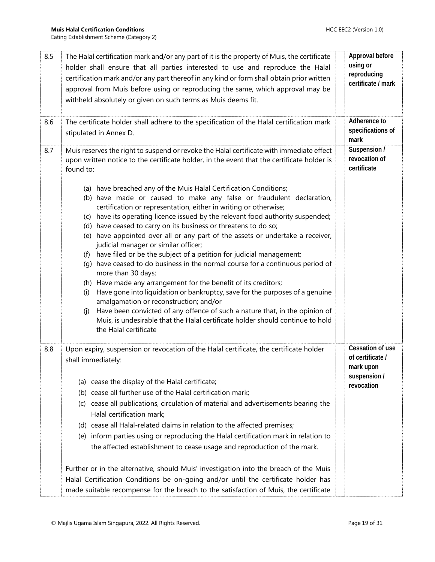| 8.5 | The Halal certification mark and/or any part of it is the property of Muis, the certificate<br>holder shall ensure that all parties interested to use and reproduce the Halal<br>certification mark and/or any part thereof in any kind or form shall obtain prior written<br>approval from Muis before using or reproducing the same, which approval may be<br>withheld absolutely or given on such terms as Muis deems fit.                                                                                                                                                                                                                                                                                                                                                                                                                                                                                                                                                                                                                                                         | Approval before<br>using or<br>reproducing<br>certificate / mark |
|-----|---------------------------------------------------------------------------------------------------------------------------------------------------------------------------------------------------------------------------------------------------------------------------------------------------------------------------------------------------------------------------------------------------------------------------------------------------------------------------------------------------------------------------------------------------------------------------------------------------------------------------------------------------------------------------------------------------------------------------------------------------------------------------------------------------------------------------------------------------------------------------------------------------------------------------------------------------------------------------------------------------------------------------------------------------------------------------------------|------------------------------------------------------------------|
| 8.6 | The certificate holder shall adhere to the specification of the Halal certification mark<br>stipulated in Annex D.                                                                                                                                                                                                                                                                                                                                                                                                                                                                                                                                                                                                                                                                                                                                                                                                                                                                                                                                                                    | Adherence to<br>specifications of<br>mark                        |
| 8.7 | Muis reserves the right to suspend or revoke the Halal certificate with immediate effect<br>upon written notice to the certificate holder, in the event that the certificate holder is<br>found to:                                                                                                                                                                                                                                                                                                                                                                                                                                                                                                                                                                                                                                                                                                                                                                                                                                                                                   | Suspension /<br>revocation of<br>certificate                     |
|     | (a) have breached any of the Muis Halal Certification Conditions;<br>(b) have made or caused to make any false or fraudulent declaration,<br>certification or representation, either in writing or otherwise;<br>(c) have its operating licence issued by the relevant food authority suspended;<br>(d) have ceased to carry on its business or threatens to do so;<br>(e) have appointed over all or any part of the assets or undertake a receiver,<br>judicial manager or similar officer;<br>(f) have filed or be the subject of a petition for judicial management;<br>(q) have ceased to do business in the normal course for a continuous period of<br>more than 30 days;<br>(h) Have made any arrangement for the benefit of its creditors;<br>Have gone into liquidation or bankruptcy, save for the purposes of a genuine<br>(i)<br>amalgamation or reconstruction; and/or<br>Have been convicted of any offence of such a nature that, in the opinion of<br>(i)<br>Muis, is undesirable that the Halal certificate holder should continue to hold<br>the Halal certificate |                                                                  |
| 8.8 | Upon expiry, suspension or revocation of the Halal certificate, the certificate holder<br>shall immediately:                                                                                                                                                                                                                                                                                                                                                                                                                                                                                                                                                                                                                                                                                                                                                                                                                                                                                                                                                                          | Cessation of use<br>of certificate /<br>mark upon                |
|     | (a) cease the display of the Halal certificate;<br>(b) cease all further use of the Halal certification mark;<br>(c) cease all publications, circulation of material and advertisements bearing the<br>Halal certification mark;<br>(d) cease all Halal-related claims in relation to the affected premises;<br>(e) inform parties using or reproducing the Halal certification mark in relation to<br>the affected establishment to cease usage and reproduction of the mark.<br>Further or in the alternative, should Muis' investigation into the breach of the Muis                                                                                                                                                                                                                                                                                                                                                                                                                                                                                                               | suspension /<br>revocation                                       |
|     | Halal Certification Conditions be on-going and/or until the certificate holder has<br>made suitable recompense for the breach to the satisfaction of Muis, the certificate                                                                                                                                                                                                                                                                                                                                                                                                                                                                                                                                                                                                                                                                                                                                                                                                                                                                                                            |                                                                  |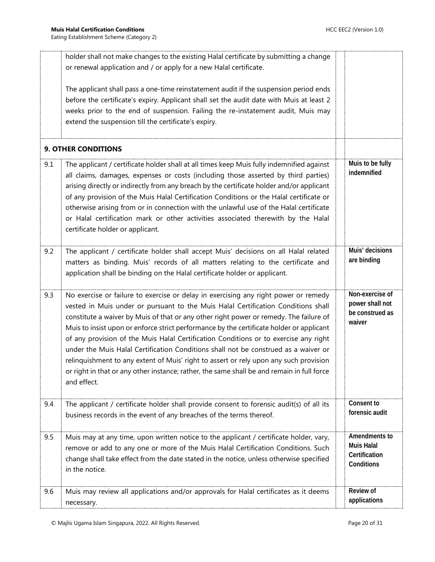<span id="page-19-0"></span>

|     | holder shall not make changes to the existing Halal certificate by submitting a change<br>or renewal application and / or apply for a new Halal certificate.                                                                                                                                                                                                                                                                                                                                                                                                                                                                                                                                                                                        |                                                                   |
|-----|-----------------------------------------------------------------------------------------------------------------------------------------------------------------------------------------------------------------------------------------------------------------------------------------------------------------------------------------------------------------------------------------------------------------------------------------------------------------------------------------------------------------------------------------------------------------------------------------------------------------------------------------------------------------------------------------------------------------------------------------------------|-------------------------------------------------------------------|
|     | The applicant shall pass a one-time reinstatement audit if the suspension period ends<br>before the certificate's expiry. Applicant shall set the audit date with Muis at least 2<br>weeks prior to the end of suspension. Failing the re-instatement audit, Muis may<br>extend the suspension till the certificate's expiry.                                                                                                                                                                                                                                                                                                                                                                                                                       |                                                                   |
|     | <b>9. OTHER CONDITIONS</b>                                                                                                                                                                                                                                                                                                                                                                                                                                                                                                                                                                                                                                                                                                                          |                                                                   |
| 9.1 | The applicant / certificate holder shall at all times keep Muis fully indemnified against<br>all claims, damages, expenses or costs (including those asserted by third parties)<br>arising directly or indirectly from any breach by the certificate holder and/or applicant<br>of any provision of the Muis Halal Certification Conditions or the Halal certificate or<br>otherwise arising from or in connection with the unlawful use of the Halal certificate<br>or Halal certification mark or other activities associated therewith by the Halal<br>certificate holder or applicant.                                                                                                                                                          | Muis to be fully<br>indemnified                                   |
| 9.2 | The applicant / certificate holder shall accept Muis' decisions on all Halal related<br>matters as binding. Muis' records of all matters relating to the certificate and<br>application shall be binding on the Halal certificate holder or applicant.                                                                                                                                                                                                                                                                                                                                                                                                                                                                                              | Muis' decisions<br>are binding                                    |
| 9.3 | No exercise or failure to exercise or delay in exercising any right power or remedy<br>vested in Muis under or pursuant to the Muis Halal Certification Conditions shall<br>constitute a waiver by Muis of that or any other right power or remedy. The failure of<br>Muis to insist upon or enforce strict performance by the certificate holder or applicant<br>of any provision of the Muis Halal Certification Conditions or to exercise any right<br>under the Muis Halal Certification Conditions shall not be construed as a waiver or<br>relinquishment to any extent of Muis' right to assert or rely upon any such provision<br>or right in that or any other instance; rather, the same shall be and remain in full force<br>and effect. | Non-exercise of<br>power shall not<br>be construed as<br>waiver   |
| 9.4 | The applicant / certificate holder shall provide consent to forensic audit(s) of all its<br>business records in the event of any breaches of the terms thereof.                                                                                                                                                                                                                                                                                                                                                                                                                                                                                                                                                                                     | Consent to<br>forensic audit                                      |
| 9.5 | Muis may at any time, upon written notice to the applicant / certificate holder, vary,<br>remove or add to any one or more of the Muis Halal Certification Conditions. Such<br>change shall take effect from the date stated in the notice, unless otherwise specified<br>in the notice.                                                                                                                                                                                                                                                                                                                                                                                                                                                            | Amendments to<br><b>Muis Halal</b><br>Certification<br>Conditions |
| 9.6 | Muis may review all applications and/or approvals for Halal certificates as it deems<br>necessary.                                                                                                                                                                                                                                                                                                                                                                                                                                                                                                                                                                                                                                                  | Review of<br>applications                                         |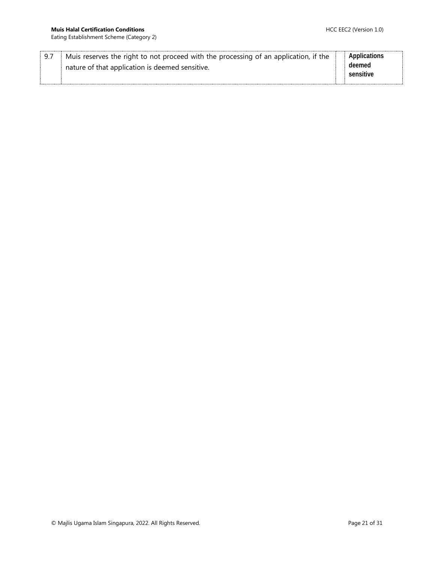Eating Establishment Scheme (Category 2)

|  | Muis reserves the right to not proceed with the processing of an application, if the | Applications |
|--|--------------------------------------------------------------------------------------|--------------|
|  | nature of that application is deemed sensitive.                                      | deemed       |
|  |                                                                                      | sensitive    |
|  |                                                                                      |              |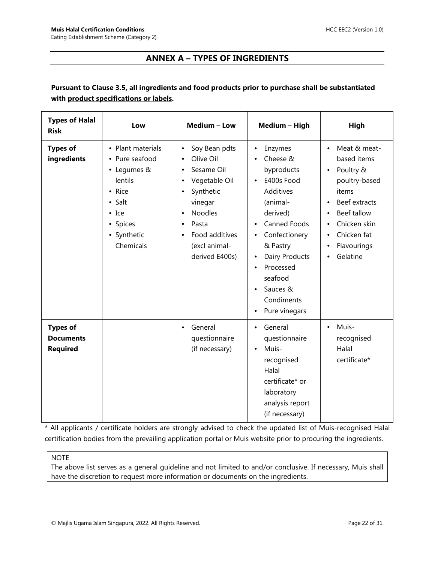## **ANNEX A – TYPES OF INGREDIENTS**

#### <span id="page-21-0"></span>**Pursuant to Clause 3.5, all ingredients and food products prior to purchase shall be substantiated with product specifications or labels.**

| <b>Types of Halal</b><br><b>Risk</b>                   | Low                                                                                                                                                | Medium - Low                                                                                                                                                                   | Medium - High                                                                                                                                                                                                                                                                                    | High                                                                                                                                                                                                          |
|--------------------------------------------------------|----------------------------------------------------------------------------------------------------------------------------------------------------|--------------------------------------------------------------------------------------------------------------------------------------------------------------------------------|--------------------------------------------------------------------------------------------------------------------------------------------------------------------------------------------------------------------------------------------------------------------------------------------------|---------------------------------------------------------------------------------------------------------------------------------------------------------------------------------------------------------------|
| <b>Types of</b><br>ingredients                         | • Plant materials<br>• Pure seafood<br>• Legumes &<br>lentils<br>• Rice<br>$\bullet$ Salt<br>$\bullet$ Ice<br>• Spices<br>• Synthetic<br>Chemicals | Soy Bean pdts<br>Olive Oil<br>Sesame Oil<br>Vegetable Oil<br>$\bullet$<br>Synthetic<br>vinegar<br><b>Noodles</b><br>Pasta<br>Food additives<br>(excl animal-<br>derived E400s) | Enzymes<br>٠<br>Cheese &<br>byproducts<br>E400s Food<br>$\bullet$<br>Additives<br>(animal-<br>derived)<br><b>Canned Foods</b><br>$\bullet$<br>Confectionery<br>٠<br>& Pastry<br>Dairy Products<br>$\bullet$<br>Processed<br>$\bullet$<br>seafood<br>Sauces &<br>Condiments<br>Pure vinegars<br>٠ | Meat & meat-<br>$\bullet$<br>based items<br>Poultry &<br>٠<br>poultry-based<br>items<br>Beef extracts<br>$\bullet$<br>Beef tallow<br>$\bullet$<br>Chicken skin<br>Chicken fat<br>Flavourings<br>٠<br>Gelatine |
| <b>Types of</b><br><b>Documents</b><br><b>Required</b> |                                                                                                                                                    | General<br>$\bullet$<br>questionnaire<br>(if necessary)                                                                                                                        | General<br>$\bullet$<br>questionnaire<br>Muis-<br>$\bullet$<br>recognised<br>Halal<br>certificate* or<br>laboratory<br>analysis report<br>(if necessary)                                                                                                                                         | Muis-<br>$\bullet$<br>recognised<br>Halal<br>certificate*                                                                                                                                                     |

\* All applicants / certificate holders are strongly advised to check the updated list of Muis-recognised Halal certification bodies from the prevailing application portal or Muis website prior to procuring the ingredients.

#### **NOTE**

The above list serves as a general guideline and not limited to and/or conclusive. If necessary, Muis shall have the discretion to request more information or documents on the ingredients.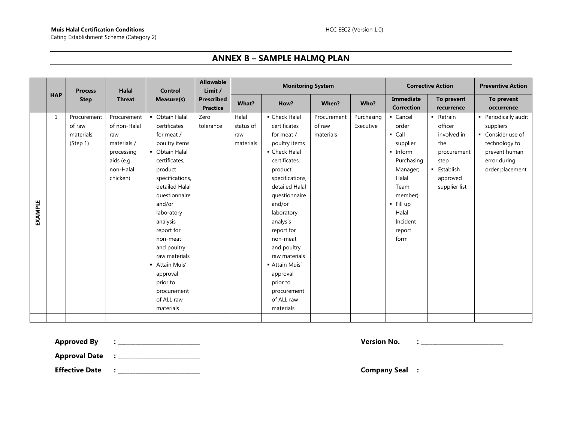## **ANNEX B – SAMPLE HALMQ PLAN**

<span id="page-22-0"></span>

|         |            | <b>Process</b>                                 | Halal                                                                                                  | <b>Control</b>                                                                                                                                                                                                                                                                                                                                      | <b>Allowable</b><br>Limit /          |                                        | <b>Monitoring System</b>                                                                                                                                                                                                                                                                                                                          |                                    |                         | <b>Corrective Action</b>                                                                                                                                                                  | <b>Preventive Action</b>                                                                                           |                                                                                                                             |
|---------|------------|------------------------------------------------|--------------------------------------------------------------------------------------------------------|-----------------------------------------------------------------------------------------------------------------------------------------------------------------------------------------------------------------------------------------------------------------------------------------------------------------------------------------------------|--------------------------------------|----------------------------------------|---------------------------------------------------------------------------------------------------------------------------------------------------------------------------------------------------------------------------------------------------------------------------------------------------------------------------------------------------|------------------------------------|-------------------------|-------------------------------------------------------------------------------------------------------------------------------------------------------------------------------------------|--------------------------------------------------------------------------------------------------------------------|-----------------------------------------------------------------------------------------------------------------------------|
|         | <b>HAP</b> | <b>Step</b>                                    | <b>Threat</b>                                                                                          | Measure(s)                                                                                                                                                                                                                                                                                                                                          | <b>Prescribed</b><br><b>Practice</b> | What?                                  | How?                                                                                                                                                                                                                                                                                                                                              | When?                              | Who?                    | Immediate<br><b>Correction</b>                                                                                                                                                            | To prevent<br>recurrence                                                                                           | To prevent<br>occurrence                                                                                                    |
| EXAMPLE | 1          | Procurement<br>of raw<br>materials<br>(Step 1) | Procurement<br>of non-Halal<br>raw<br>materials /<br>processing<br>aids (e.g.<br>non-Halal<br>chicken) | • Obtain Halal<br>certificates<br>for meat /<br>poultry items<br>• Obtain Halal<br>certificates,<br>product<br>specifications,<br>detailed Halal<br>questionnaire<br>and/or<br>laboratory<br>analysis<br>report for<br>non-meat<br>and poultry<br>raw materials<br>- Attain Muis'<br>approval<br>prior to<br>procurement<br>of ALL raw<br>materials | Zero<br>tolerance                    | Halal<br>status of<br>raw<br>materials | • Check Halal<br>certificates<br>for meat /<br>poultry items<br>• Check Halal<br>certificates,<br>product<br>specifications,<br>detailed Halal<br>questionnaire<br>and/or<br>laboratory<br>analysis<br>report for<br>non-meat<br>and poultry<br>raw materials<br>- Attain Muis'<br>approval<br>prior to<br>procurement<br>of ALL raw<br>materials | Procurement<br>of raw<br>materials | Purchasing<br>Executive | • Cancel<br>order<br>$\blacksquare$ Call<br>supplier<br>$\blacksquare$ Inform<br>Purchasing<br>Manager;<br>Halal<br>Team<br>member)<br>$-$ Fill up<br>Halal<br>Incident<br>report<br>form | - Retrain<br>officer<br>involved in<br>the<br>procurement<br>step<br><b>Establish</b><br>approved<br>supplier list | • Periodically audit<br>suppliers<br>• Consider use of<br>technology to<br>prevent human<br>error during<br>order placement |
|         |            |                                                |                                                                                                        |                                                                                                                                                                                                                                                                                                                                                     |                                      |                                        |                                                                                                                                                                                                                                                                                                                                                   |                                    |                         |                                                                                                                                                                                           |                                                                                                                    |                                                                                                                             |

**Approved By : \_\_\_\_\_\_\_\_\_\_\_\_\_\_\_\_\_\_\_\_\_\_\_\_\_\_\_\_ Version No. : \_\_\_\_\_\_\_\_\_\_\_\_\_\_\_\_\_\_\_\_\_\_\_\_\_\_\_\_**

**Approval Date : \_\_\_\_\_\_\_\_\_\_\_\_\_\_\_\_\_\_\_\_\_\_\_\_\_\_\_\_**

**Effective Date : \_\_\_\_\_\_\_\_\_\_\_\_\_\_\_\_\_\_\_\_\_\_\_\_\_\_\_\_ Company Seal :**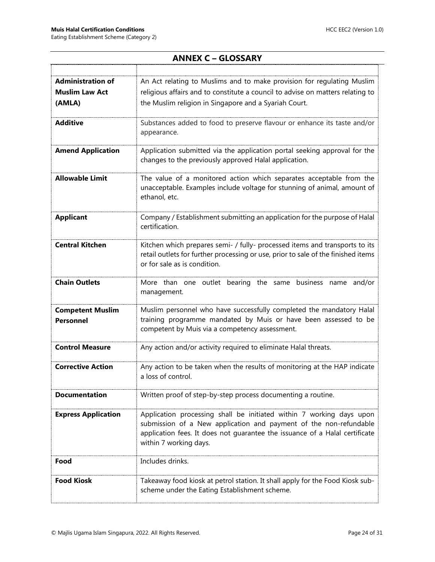<span id="page-23-0"></span>

| <b>Administration of</b>                    | An Act relating to Muslims and to make provision for regulating Muslim                                                                                                                                                                             |
|---------------------------------------------|----------------------------------------------------------------------------------------------------------------------------------------------------------------------------------------------------------------------------------------------------|
| <b>Muslim Law Act</b>                       | religious affairs and to constitute a council to advise on matters relating to                                                                                                                                                                     |
| (AMLA)                                      | the Muslim religion in Singapore and a Syariah Court.                                                                                                                                                                                              |
| <b>Additive</b>                             | Substances added to food to preserve flavour or enhance its taste and/or<br>appearance.                                                                                                                                                            |
| <b>Amend Application</b>                    | Application submitted via the application portal seeking approval for the<br>changes to the previously approved Halal application.                                                                                                                 |
| <b>Allowable Limit</b>                      | The value of a monitored action which separates acceptable from the<br>unacceptable. Examples include voltage for stunning of animal, amount of<br>ethanol, etc.                                                                                   |
| <b>Applicant</b>                            | Company / Establishment submitting an application for the purpose of Halal<br>certification.                                                                                                                                                       |
| <b>Central Kitchen</b>                      | Kitchen which prepares semi- / fully- processed items and transports to its<br>retail outlets for further processing or use, prior to sale of the finished items<br>or for sale as is condition.                                                   |
| <b>Chain Outlets</b>                        | More than one outlet bearing the same<br>business name and/or<br>management.                                                                                                                                                                       |
| <b>Competent Muslim</b><br><b>Personnel</b> | Muslim personnel who have successfully completed the mandatory Halal<br>training programme mandated by Muis or have been assessed to be<br>competent by Muis via a competency assessment.                                                          |
| <b>Control Measure</b>                      | Any action and/or activity required to eliminate Halal threats.                                                                                                                                                                                    |
| <b>Corrective Action</b>                    | Any action to be taken when the results of monitoring at the HAP indicate<br>a loss of control.                                                                                                                                                    |
| <b>Documentation</b>                        | Written proof of step-by-step process documenting a routine.                                                                                                                                                                                       |
| <b>Express Application</b>                  | Application processing shall be initiated within 7 working days upon<br>submission of a New application and payment of the non-refundable<br>application fees. It does not quarantee the issuance of a Halal certificate<br>within 7 working days. |
| Food                                        | Includes drinks.                                                                                                                                                                                                                                   |
| <b>Food Kiosk</b>                           | Takeaway food kiosk at petrol station. It shall apply for the Food Kiosk sub-<br>scheme under the Eating Establishment scheme.                                                                                                                     |

### **ANNEX C – GLOSSARY**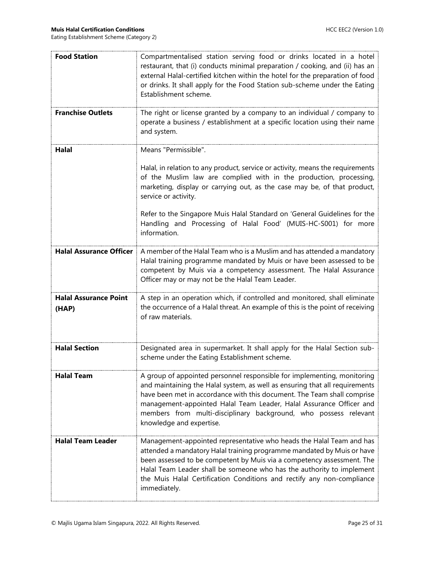| <b>Food Station</b>                   | Compartmentalised station serving food or drinks located in a hotel<br>restaurant, that (i) conducts minimal preparation / cooking, and (ii) has an<br>external Halal-certified kitchen within the hotel for the preparation of food<br>or drinks. It shall apply for the Food Station sub-scheme under the Eating<br>Establishment scheme.                                                              |
|---------------------------------------|----------------------------------------------------------------------------------------------------------------------------------------------------------------------------------------------------------------------------------------------------------------------------------------------------------------------------------------------------------------------------------------------------------|
| <b>Franchise Outlets</b>              | The right or license granted by a company to an individual / company to<br>operate a business / establishment at a specific location using their name<br>and system.                                                                                                                                                                                                                                     |
| Halal                                 | Means "Permissible".                                                                                                                                                                                                                                                                                                                                                                                     |
|                                       | Halal, in relation to any product, service or activity, means the requirements<br>of the Muslim law are complied with in the production, processing,<br>marketing, display or carrying out, as the case may be, of that product,<br>service or activity.                                                                                                                                                 |
|                                       | Refer to the Singapore Muis Halal Standard on 'General Guidelines for the<br>Handling and Processing of Halal Food' (MUIS-HC-S001) for more<br>information.                                                                                                                                                                                                                                              |
| <b>Halal Assurance Officer</b>        | A member of the Halal Team who is a Muslim and has attended a mandatory<br>Halal training programme mandated by Muis or have been assessed to be<br>competent by Muis via a competency assessment. The Halal Assurance<br>Officer may or may not be the Halal Team Leader.                                                                                                                               |
| <b>Halal Assurance Point</b><br>(HAP) | A step in an operation which, if controlled and monitored, shall eliminate<br>the occurrence of a Halal threat. An example of this is the point of receiving<br>of raw materials.                                                                                                                                                                                                                        |
| <b>Halal Section</b>                  | Designated area in supermarket. It shall apply for the Halal Section sub-<br>scheme under the Eating Establishment scheme.                                                                                                                                                                                                                                                                               |
| <b>Halal Team</b>                     | A group of appointed personnel responsible for implementing, monitoring<br>and maintaining the Halal system, as well as ensuring that all requirements<br>have been met in accordance with this document. The Team shall comprise<br>management-appointed Halal Team Leader, Halal Assurance Officer and<br>members from multi-disciplinary background, who possess relevant<br>knowledge and expertise. |
| <b>Halal Team Leader</b>              | Management-appointed representative who heads the Halal Team and has<br>attended a mandatory Halal training programme mandated by Muis or have<br>been assessed to be competent by Muis via a competency assessment. The<br>Halal Team Leader shall be someone who has the authority to implement<br>the Muis Halal Certification Conditions and rectify any non-compliance<br>immediately.              |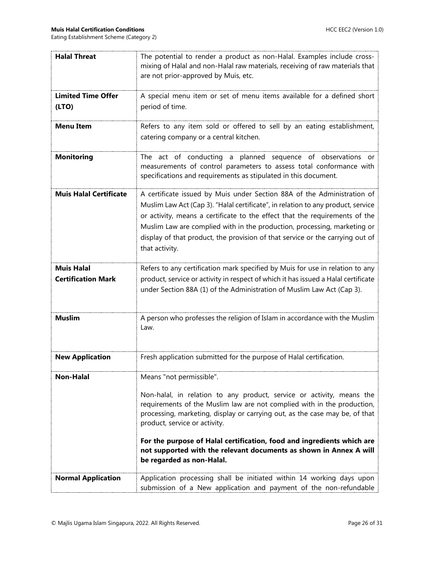| <b>Halal Threat</b>                            | The potential to render a product as non-Halal. Examples include cross-<br>mixing of Halal and non-Halal raw materials, receiving of raw materials that<br>are not prior-approved by Muis, etc.                                                                                                                                                                                                                           |
|------------------------------------------------|---------------------------------------------------------------------------------------------------------------------------------------------------------------------------------------------------------------------------------------------------------------------------------------------------------------------------------------------------------------------------------------------------------------------------|
| <b>Limited Time Offer</b><br>(LTO)             | A special menu item or set of menu items available for a defined short<br>period of time.                                                                                                                                                                                                                                                                                                                                 |
| <b>Menu Item</b>                               | Refers to any item sold or offered to sell by an eating establishment,<br>catering company or a central kitchen.                                                                                                                                                                                                                                                                                                          |
| <b>Monitoring</b>                              | The act of conducting a planned sequence of observations or<br>measurements of control parameters to assess total conformance with<br>specifications and requirements as stipulated in this document.                                                                                                                                                                                                                     |
| <b>Muis Halal Certificate</b>                  | A certificate issued by Muis under Section 88A of the Administration of<br>Muslim Law Act (Cap 3). "Halal certificate", in relation to any product, service<br>or activity, means a certificate to the effect that the requirements of the<br>Muslim Law are complied with in the production, processing, marketing or<br>display of that product, the provision of that service or the carrying out of<br>that activity. |
| <b>Muis Halal</b><br><b>Certification Mark</b> | Refers to any certification mark specified by Muis for use in relation to any<br>product, service or activity in respect of which it has issued a Halal certificate<br>under Section 88A (1) of the Administration of Muslim Law Act (Cap 3).                                                                                                                                                                             |
| <b>Muslim</b>                                  | A person who professes the religion of Islam in accordance with the Muslim<br>Law.                                                                                                                                                                                                                                                                                                                                        |
| <b>New Application</b>                         | Fresh application submitted for the purpose of Halal certification.                                                                                                                                                                                                                                                                                                                                                       |
| <b>Non-Halal</b>                               | Means "not permissible".                                                                                                                                                                                                                                                                                                                                                                                                  |
|                                                | Non-halal, in relation to any product, service or activity, means the<br>requirements of the Muslim law are not complied with in the production,<br>processing, marketing, display or carrying out, as the case may be, of that<br>product, service or activity.                                                                                                                                                          |
|                                                | For the purpose of Halal certification, food and ingredients which are<br>not supported with the relevant documents as shown in Annex A will<br>be regarded as non-Halal.                                                                                                                                                                                                                                                 |
| <b>Normal Application</b>                      | Application processing shall be initiated within 14 working days upon<br>submission of a New application and payment of the non-refundable                                                                                                                                                                                                                                                                                |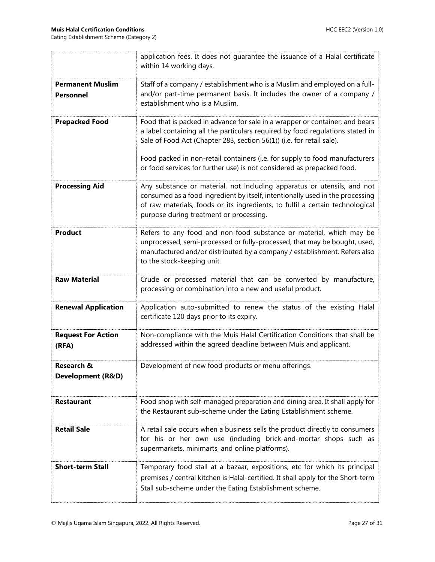|                                             | application fees. It does not guarantee the issuance of a Halal certificate<br>within 14 working days.                                                                                                                                                                               |
|---------------------------------------------|--------------------------------------------------------------------------------------------------------------------------------------------------------------------------------------------------------------------------------------------------------------------------------------|
| <b>Permanent Muslim</b><br><b>Personnel</b> | Staff of a company / establishment who is a Muslim and employed on a full-<br>and/or part-time permanent basis. It includes the owner of a company /<br>establishment who is a Muslim.                                                                                               |
| <b>Prepacked Food</b>                       | Food that is packed in advance for sale in a wrapper or container, and bears<br>a label containing all the particulars required by food regulations stated in<br>Sale of Food Act (Chapter 283, section 56(1)) (i.e. for retail sale).                                               |
|                                             | Food packed in non-retail containers (i.e. for supply to food manufacturers<br>or food services for further use) is not considered as prepacked food.                                                                                                                                |
| <b>Processing Aid</b>                       | Any substance or material, not including apparatus or utensils, and not<br>consumed as a food ingredient by itself, intentionally used in the processing<br>of raw materials, foods or its ingredients, to fulfil a certain technological<br>purpose during treatment or processing. |
| <b>Product</b>                              | Refers to any food and non-food substance or material, which may be<br>unprocessed, semi-processed or fully-processed, that may be bought, used,<br>manufactured and/or distributed by a company / establishment. Refers also<br>to the stock-keeping unit.                          |
| <b>Raw Material</b>                         | Crude or processed material that can be converted by manufacture,<br>processing or combination into a new and useful product.                                                                                                                                                        |
| <b>Renewal Application</b>                  | Application auto-submitted to renew the status of the existing Halal<br>certificate 120 days prior to its expiry.                                                                                                                                                                    |
| <b>Request For Action</b><br>(RFA)          | Non-compliance with the Muis Halal Certification Conditions that shall be<br>addressed within the agreed deadline between Muis and applicant.                                                                                                                                        |
| <b>Research &amp;</b><br>Development (R&D)  | Development of new food products or menu offerings.                                                                                                                                                                                                                                  |
| <b>Restaurant</b>                           | Food shop with self-managed preparation and dining area. It shall apply for<br>the Restaurant sub-scheme under the Eating Establishment scheme.                                                                                                                                      |
| <b>Retail Sale</b>                          | A retail sale occurs when a business sells the product directly to consumers<br>for his or her own use (including brick-and-mortar shops such as<br>supermarkets, minimarts, and online platforms).                                                                                  |
| <b>Short-term Stall</b>                     | Temporary food stall at a bazaar, expositions, etc for which its principal<br>premises / central kitchen is Halal-certified. It shall apply for the Short-term<br>Stall sub-scheme under the Eating Establishment scheme.                                                            |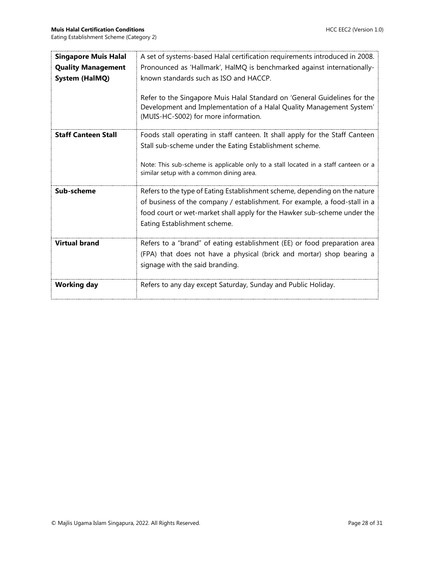| <b>Singapore Muis Halal</b> | A set of systems-based Halal certification requirements introduced in 2008.                                                                                                               |
|-----------------------------|-------------------------------------------------------------------------------------------------------------------------------------------------------------------------------------------|
| <b>Quality Management</b>   | Pronounced as 'Hallmark', HalMQ is benchmarked against internationally-                                                                                                                   |
| <b>System (HalMQ)</b>       | known standards such as ISO and HACCP.                                                                                                                                                    |
|                             | Refer to the Singapore Muis Halal Standard on 'General Guidelines for the<br>Development and Implementation of a Halal Quality Management System'<br>(MUIS-HC-S002) for more information. |
| <b>Staff Canteen Stall</b>  | Foods stall operating in staff canteen. It shall apply for the Staff Canteen                                                                                                              |
|                             | Stall sub-scheme under the Eating Establishment scheme.                                                                                                                                   |
|                             | Note: This sub-scheme is applicable only to a stall located in a staff canteen or a<br>similar setup with a common dining area.                                                           |
| Sub-scheme                  | Refers to the type of Eating Establishment scheme, depending on the nature                                                                                                                |
|                             | of business of the company / establishment. For example, a food-stall in a                                                                                                                |
|                             | food court or wet-market shall apply for the Hawker sub-scheme under the                                                                                                                  |
|                             | Eating Establishment scheme.                                                                                                                                                              |
| <b>Virtual brand</b>        | Refers to a "brand" of eating establishment (EE) or food preparation area                                                                                                                 |
|                             | (FPA) that does not have a physical (brick and mortar) shop bearing a                                                                                                                     |
|                             | signage with the said branding.                                                                                                                                                           |
| <b>Working day</b>          | Refers to any day except Saturday, Sunday and Public Holiday.                                                                                                                             |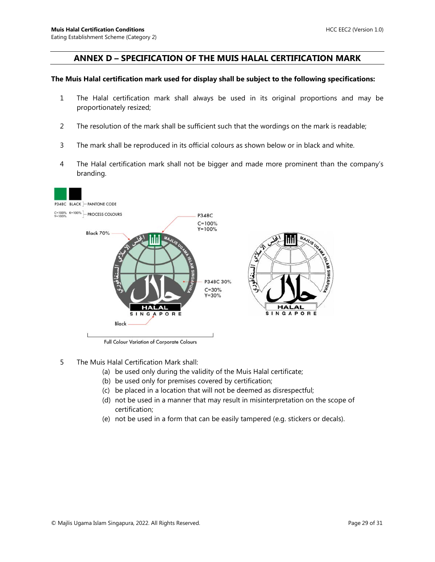#### <span id="page-28-0"></span>**ANNEX D – SPECIFICATION OF THE MUIS HALAL CERTIFICATION MARK**

#### **The Muis Halal certification mark used for display shall be subject to the following specifications:**

- 1 The Halal certification mark shall always be used in its original proportions and may be proportionately resized;
- 2 The resolution of the mark shall be sufficient such that the wordings on the mark is readable;
- 3 The mark shall be reproduced in its official colours as shown below or in black and white.
- 4 The Halal certification mark shall not be bigger and made more prominent than the company's branding.



Full Colour Variation of Corporate Colours

- 5 The Muis Halal Certification Mark shall:
	- (a) be used only during the validity of the Muis Halal certificate;
	- (b) be used only for premises covered by certification;
	- (c) be placed in a location that will not be deemed as disrespectful;
	- (d) not be used in a manner that may result in misinterpretation on the scope of certification;
	- (e) not be used in a form that can be easily tampered (e.g. stickers or decals).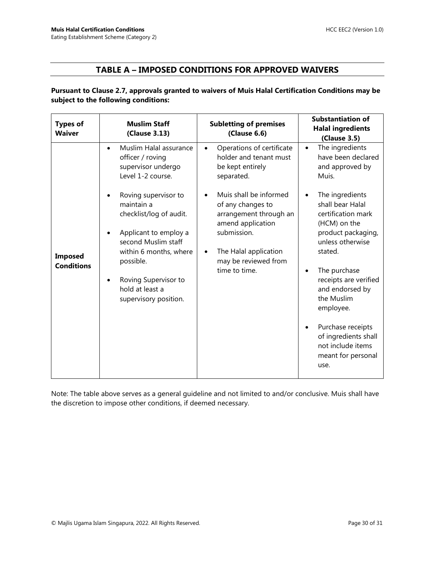#### **TABLE A – IMPOSED CONDITIONS FOR APPROVED WAIVERS**

<span id="page-29-0"></span>**Pursuant to Clause 2.7, approvals granted to waivers of Muis Halal Certification Conditions may be subject to the following conditions:**

| <b>Types of</b><br><b>Waiver</b>    | <b>Muslim Staff</b><br>(Clause 3.13)                                                                                                                                                                                     | <b>Subletting of premises</b><br>(Clause 6.6)                                                                                                                               | <b>Substantiation of</b><br><b>Halal ingredients</b><br>(Clause 3.5)                                                                                                                                                                                                                                                                                         |
|-------------------------------------|--------------------------------------------------------------------------------------------------------------------------------------------------------------------------------------------------------------------------|-----------------------------------------------------------------------------------------------------------------------------------------------------------------------------|--------------------------------------------------------------------------------------------------------------------------------------------------------------------------------------------------------------------------------------------------------------------------------------------------------------------------------------------------------------|
|                                     | Muslim Halal assurance<br>$\bullet$<br>officer / roving<br>supervisor undergo<br>Level 1-2 course.                                                                                                                       | Operations of certificate<br>$\bullet$<br>holder and tenant must<br>be kept entirely<br>separated.                                                                          | The ingredients<br>$\bullet$<br>have been declared<br>and approved by<br>Muis.                                                                                                                                                                                                                                                                               |
| <b>Imposed</b><br><b>Conditions</b> | Roving supervisor to<br>maintain a<br>checklist/log of audit.<br>Applicant to employ a<br>second Muslim staff<br>within 6 months, where<br>possible.<br>Roving Supervisor to<br>hold at least a<br>supervisory position. | Muis shall be informed<br>of any changes to<br>arrangement through an<br>amend application<br>submission.<br>The Halal application<br>may be reviewed from<br>time to time. | The ingredients<br>$\bullet$<br>shall bear Halal<br>certification mark<br>(HCM) on the<br>product packaging,<br>unless otherwise<br>stated.<br>The purchase<br>$\bullet$<br>receipts are verified<br>and endorsed by<br>the Muslim<br>employee.<br>Purchase receipts<br>$\bullet$<br>of ingredients shall<br>not include items<br>meant for personal<br>use. |

Note: The table above serves as a general guideline and not limited to and/or conclusive. Muis shall have the discretion to impose other conditions, if deemed necessary.